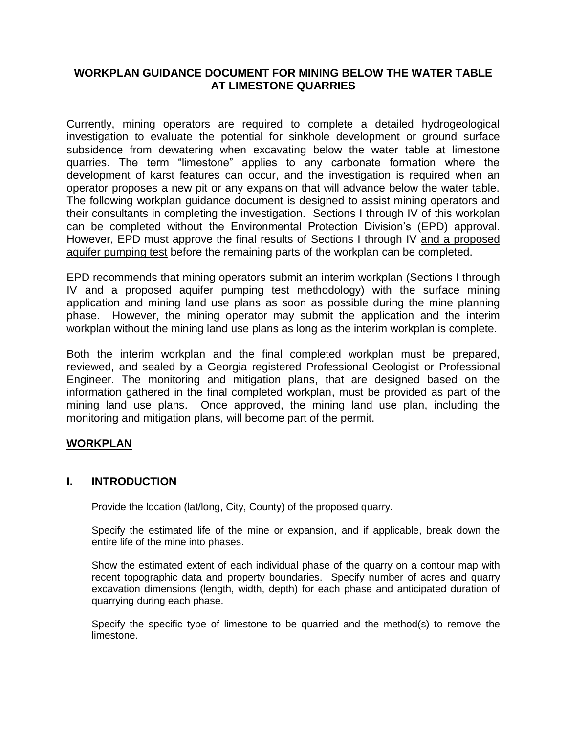# **WORKPLAN GUIDANCE DOCUMENT FOR MINING BELOW THE WATER TABLE AT LIMESTONE QUARRIES**

Currently, mining operators are required to complete a detailed hydrogeological investigation to evaluate the potential for sinkhole development or ground surface subsidence from dewatering when excavating below the water table at limestone quarries. The term "limestone" applies to any carbonate formation where the development of karst features can occur, and the investigation is required when an operator proposes a new pit or any expansion that will advance below the water table. The following workplan guidance document is designed to assist mining operators and their consultants in completing the investigation. Sections I through IV of this workplan can be completed without the Environmental Protection Division's (EPD) approval. However, EPD must approve the final results of Sections I through IV and a proposed aquifer pumping test before the remaining parts of the workplan can be completed.

EPD recommends that mining operators submit an interim workplan (Sections I through IV and a proposed aquifer pumping test methodology) with the surface mining application and mining land use plans as soon as possible during the mine planning phase. However, the mining operator may submit the application and the interim workplan without the mining land use plans as long as the interim workplan is complete.

Both the interim workplan and the final completed workplan must be prepared, reviewed, and sealed by a Georgia registered Professional Geologist or Professional Engineer. The monitoring and mitigation plans, that are designed based on the information gathered in the final completed workplan, must be provided as part of the mining land use plans. Once approved, the mining land use plan, including the monitoring and mitigation plans, will become part of the permit.

# **WORKPLAN**

### **I. INTRODUCTION**

Provide the location (lat/long, City, County) of the proposed quarry.

Specify the estimated life of the mine or expansion, and if applicable, break down the entire life of the mine into phases.

Show the estimated extent of each individual phase of the quarry on a contour map with recent topographic data and property boundaries. Specify number of acres and quarry excavation dimensions (length, width, depth) for each phase and anticipated duration of quarrying during each phase.

Specify the specific type of limestone to be quarried and the method(s) to remove the limestone.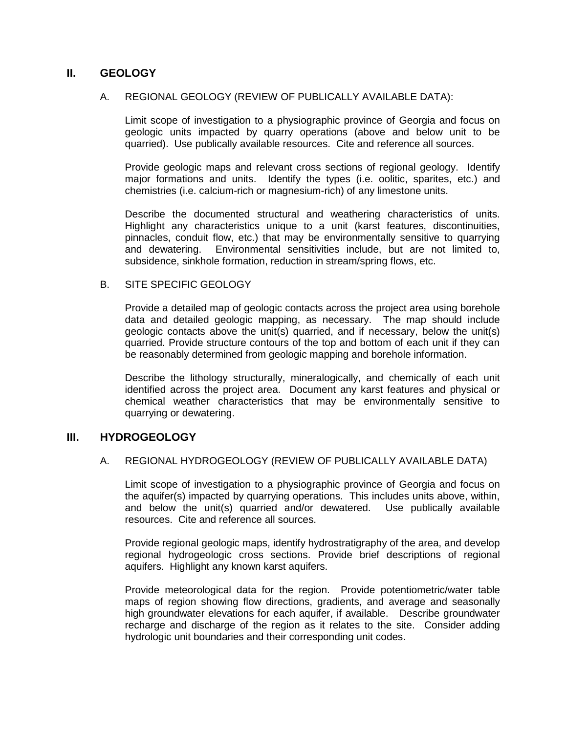# **II. GEOLOGY**

#### A. REGIONAL GEOLOGY (REVIEW OF PUBLICALLY AVAILABLE DATA):

Limit scope of investigation to a physiographic province of Georgia and focus on geologic units impacted by quarry operations (above and below unit to be quarried). Use publically available resources. Cite and reference all sources.

Provide geologic maps and relevant cross sections of regional geology. Identify major formations and units. Identify the types (i.e. oolitic, sparites, etc.) and chemistries (i.e. calcium-rich or magnesium-rich) of any limestone units.

Describe the documented structural and weathering characteristics of units. Highlight any characteristics unique to a unit (karst features, discontinuities, pinnacles, conduit flow, etc.) that may be environmentally sensitive to quarrying and dewatering. Environmental sensitivities include, but are not limited to, subsidence, sinkhole formation, reduction in stream/spring flows, etc.

### B. SITE SPECIFIC GEOLOGY

Provide a detailed map of geologic contacts across the project area using borehole data and detailed geologic mapping, as necessary. The map should include geologic contacts above the unit(s) quarried, and if necessary, below the unit(s) quarried. Provide structure contours of the top and bottom of each unit if they can be reasonably determined from geologic mapping and borehole information.

Describe the lithology structurally, mineralogically, and chemically of each unit identified across the project area. Document any karst features and physical or chemical weather characteristics that may be environmentally sensitive to quarrying or dewatering.

### **III. HYDROGEOLOGY**

#### A. REGIONAL HYDROGEOLOGY (REVIEW OF PUBLICALLY AVAILABLE DATA)

Limit scope of investigation to a physiographic province of Georgia and focus on the aquifer(s) impacted by quarrying operations. This includes units above, within, and below the unit(s) quarried and/or dewatered. Use publically available resources. Cite and reference all sources.

Provide regional geologic maps, identify hydrostratigraphy of the area, and develop regional hydrogeologic cross sections. Provide brief descriptions of regional aquifers. Highlight any known karst aquifers.

Provide meteorological data for the region. Provide potentiometric/water table maps of region showing flow directions, gradients, and average and seasonally high groundwater elevations for each aquifer, if available. Describe groundwater recharge and discharge of the region as it relates to the site. Consider adding hydrologic unit boundaries and their corresponding unit codes.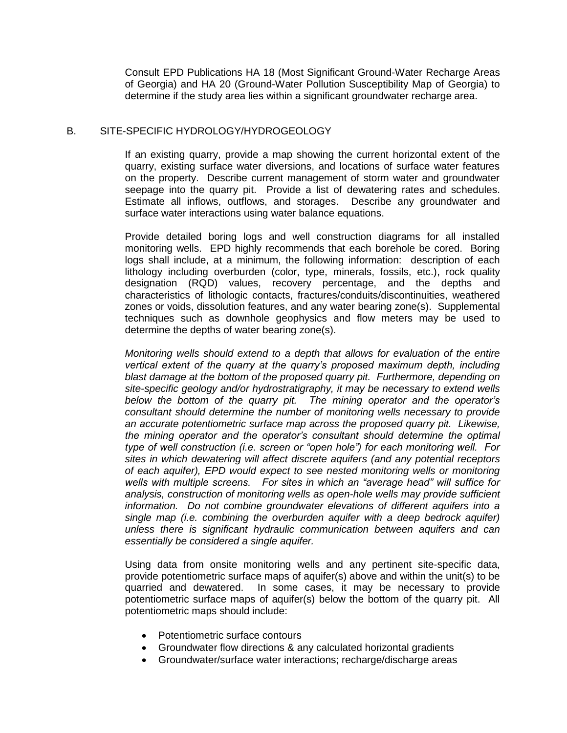Consult EPD Publications HA 18 (Most Significant Ground-Water Recharge Areas of Georgia) and HA 20 (Ground-Water Pollution Susceptibility Map of Georgia) to determine if the study area lies within a significant groundwater recharge area.

### B. SITE-SPECIFIC HYDROLOGY/HYDROGEOLOGY

If an existing quarry, provide a map showing the current horizontal extent of the quarry, existing surface water diversions, and locations of surface water features on the property. Describe current management of storm water and groundwater seepage into the quarry pit. Provide a list of dewatering rates and schedules. Estimate all inflows, outflows, and storages. Describe any groundwater and surface water interactions using water balance equations.

Provide detailed boring logs and well construction diagrams for all installed monitoring wells. EPD highly recommends that each borehole be cored. Boring logs shall include, at a minimum, the following information: description of each lithology including overburden (color, type, minerals, fossils, etc.), rock quality designation (RQD) values, recovery percentage, and the depths and characteristics of lithologic contacts, fractures/conduits/discontinuities, weathered zones or voids, dissolution features, and any water bearing zone(s). Supplemental techniques such as downhole geophysics and flow meters may be used to determine the depths of water bearing zone(s).

*Monitoring wells should extend to a depth that allows for evaluation of the entire vertical extent of the quarry at the quarry's proposed maximum depth, including blast damage at the bottom of the proposed quarry pit. Furthermore, depending on site-specific geology and/or hydrostratigraphy, it may be necessary to extend wells below the bottom of the quarry pit. The mining operator and the operator's consultant should determine the number of monitoring wells necessary to provide an accurate potentiometric surface map across the proposed quarry pit. Likewise, the mining operator and the operator's consultant should determine the optimal type of well construction (i.e. screen or "open hole") for each monitoring well. For sites in which dewatering will affect discrete aquifers (and any potential receptors of each aquifer), EPD would expect to see nested monitoring wells or monitoring wells with multiple screens. For sites in which an "average head" will suffice for analysis, construction of monitoring wells as open-hole wells may provide sufficient information. Do not combine groundwater elevations of different aquifers into a single map (i.e. combining the overburden aquifer with a deep bedrock aquifer) unless there is significant hydraulic communication between aquifers and can essentially be considered a single aquifer.* 

Using data from onsite monitoring wells and any pertinent site-specific data, provide potentiometric surface maps of aquifer(s) above and within the unit(s) to be quarried and dewatered. In some cases, it may be necessary to provide potentiometric surface maps of aquifer(s) below the bottom of the quarry pit. All potentiometric maps should include:

- Potentiometric surface contours
- Groundwater flow directions & any calculated horizontal gradients
- Groundwater/surface water interactions; recharge/discharge areas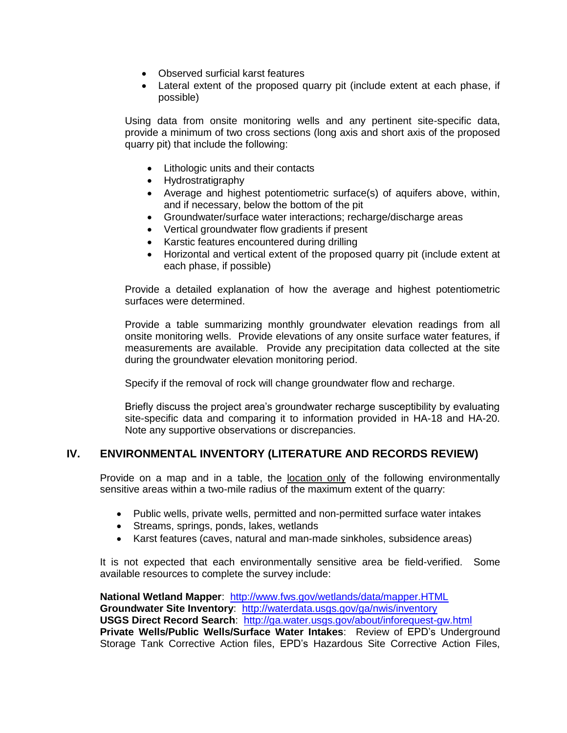- Observed surficial karst features
- Lateral extent of the proposed quarry pit (include extent at each phase, if possible)

Using data from onsite monitoring wells and any pertinent site-specific data, provide a minimum of two cross sections (long axis and short axis of the proposed quarry pit) that include the following:

- Lithologic units and their contacts
- Hydrostratigraphy
- Average and highest potentiometric surface(s) of aquifers above, within, and if necessary, below the bottom of the pit
- Groundwater/surface water interactions; recharge/discharge areas
- Vertical groundwater flow gradients if present
- Karstic features encountered during drilling
- Horizontal and vertical extent of the proposed quarry pit (include extent at each phase, if possible)

Provide a detailed explanation of how the average and highest potentiometric surfaces were determined.

Provide a table summarizing monthly groundwater elevation readings from all onsite monitoring wells. Provide elevations of any onsite surface water features, if measurements are available. Provide any precipitation data collected at the site during the groundwater elevation monitoring period.

Specify if the removal of rock will change groundwater flow and recharge.

Briefly discuss the project area's groundwater recharge susceptibility by evaluating site-specific data and comparing it to information provided in HA-18 and HA-20. Note any supportive observations or discrepancies.

# **IV. ENVIRONMENTAL INVENTORY (LITERATURE AND RECORDS REVIEW)**

Provide on a map and in a table, the location only of the following environmentally sensitive areas within a two-mile radius of the maximum extent of the quarry:

- Public wells, private wells, permitted and non-permitted surface water intakes
- Streams, springs, ponds, lakes, wetlands
- Karst features (caves, natural and man-made sinkholes, subsidence areas)

It is not expected that each environmentally sensitive area be field-verified. Some available resources to complete the survey include:

**National Wetland Mapper**: <http://www.fws.gov/wetlands/data/mapper.HTML> Groundwater Site Inventory: <http://waterdata.usgs.gov/ga/nwis/inventory> **USGS Direct Record Search**: <http://ga.water.usgs.gov/about/inforequest-gw.html> **Private Wells/Public Wells/Surface Water Intakes**: Review of EPD's Underground Storage Tank Corrective Action files, EPD's Hazardous Site Corrective Action Files,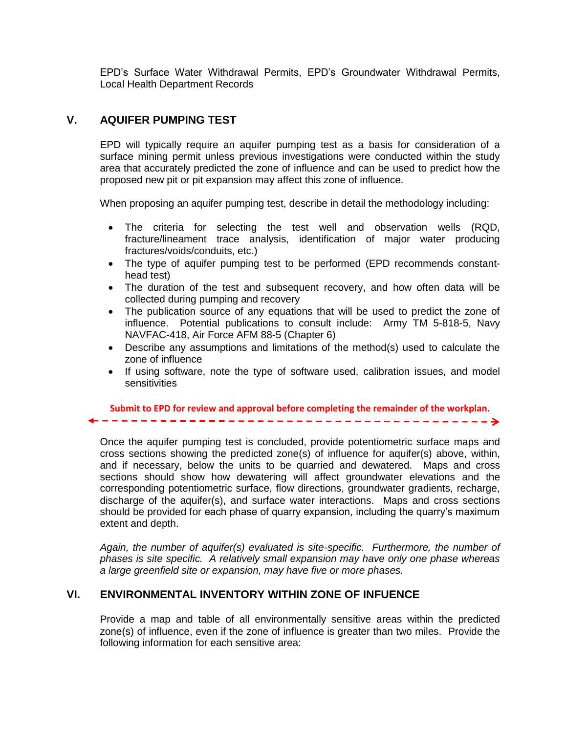EPD's Surface Water Withdrawal Permits, EPD's Groundwater Withdrawal Permits, Local Health Department Records

# **V. AQUIFER PUMPING TEST**

extent and depth.

EPD will typically require an aquifer pumping test as a basis for consideration of a surface mining permit unless previous investigations were conducted within the study area that accurately predicted the zone of influence and can be used to predict how the proposed new pit or pit expansion may affect this zone of influence.

When proposing an aquifer pumping test, describe in detail the methodology including:

- The criteria for selecting the test well and observation wells (RQD, fracture/lineament trace analysis, identification of major water producing fractures/voids/conduits, etc.)
- The type of aquifer pumping test to be performed (EPD recommends constanthead test)
- The duration of the test and subsequent recovery, and how often data will be collected during pumping and recovery
- The publication source of any equations that will be used to predict the zone of influence. Potential publications to consult include: Army TM 5-818-5, Navy NAVFAC-418, Air Force AFM 88-5 (Chapter 6)
- Describe any assumptions and limitations of the method(s) used to calculate the zone of influence
- If using software, note the type of software used, calibration issues, and model sensitivities

**Submit to EPD for review and approval before completing the remainder of the workplan.**

Once the aquifer pumping test is concluded, provide potentiometric surface maps and cross sections showing the predicted zone(s) of influence for aquifer(s) above, within, and if necessary, below the units to be quarried and dewatered. Maps and cross sections should show how dewatering will affect groundwater elevations and the corresponding potentiometric surface, flow directions, groundwater gradients, recharge, discharge of the aquifer(s), and surface water interactions. Maps and cross sections should be provided for each phase of quarry expansion, including the quarry's maximum

*Again, the number of aquifer(s) evaluated is site-specific. Furthermore, the number of phases is site specific. A relatively small expansion may have only one phase whereas a large greenfield site or expansion, may have five or more phases.*

### **VI. ENVIRONMENTAL INVENTORY WITHIN ZONE OF INFUENCE**

Provide a map and table of all environmentally sensitive areas within the predicted zone(s) of influence, even if the zone of influence is greater than two miles. Provide the following information for each sensitive area: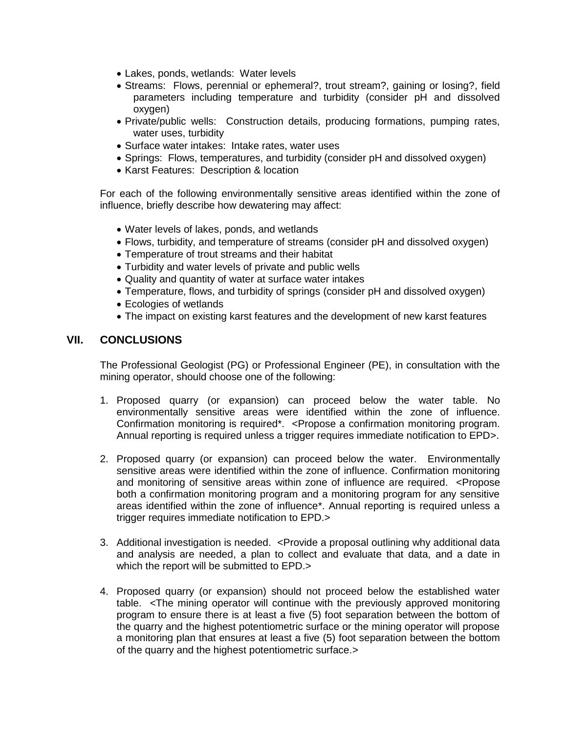- Lakes, ponds, wetlands: Water levels
- Streams: Flows, perennial or ephemeral?, trout stream?, gaining or losing?, field parameters including temperature and turbidity (consider pH and dissolved oxygen)
- Private/public wells: Construction details, producing formations, pumping rates, water uses, turbidity
- Surface water intakes: Intake rates, water uses
- Springs: Flows, temperatures, and turbidity (consider pH and dissolved oxygen)
- Karst Features: Description & location

For each of the following environmentally sensitive areas identified within the zone of influence, briefly describe how dewatering may affect:

- Water levels of lakes, ponds, and wetlands
- Flows, turbidity, and temperature of streams (consider pH and dissolved oxygen)
- Temperature of trout streams and their habitat
- Turbidity and water levels of private and public wells
- Quality and quantity of water at surface water intakes
- Temperature, flows, and turbidity of springs (consider pH and dissolved oxygen)
- Ecologies of wetlands
- The impact on existing karst features and the development of new karst features

## **VII. CONCLUSIONS**

The Professional Geologist (PG) or Professional Engineer (PE), in consultation with the mining operator, should choose one of the following:

- 1. Proposed quarry (or expansion) can proceed below the water table. No environmentally sensitive areas were identified within the zone of influence. Confirmation monitoring is required\*. <Propose a confirmation monitoring program. Annual reporting is required unless a trigger requires immediate notification to EPD>.
- 2. Proposed quarry (or expansion) can proceed below the water. Environmentally sensitive areas were identified within the zone of influence. Confirmation monitoring and monitoring of sensitive areas within zone of influence are required. <Propose both a confirmation monitoring program and a monitoring program for any sensitive areas identified within the zone of influence\*. Annual reporting is required unless a trigger requires immediate notification to EPD.>
- 3. Additional investigation is needed. <Provide a proposal outlining why additional data and analysis are needed, a plan to collect and evaluate that data, and a date in which the report will be submitted to EPD.>
- 4. Proposed quarry (or expansion) should not proceed below the established water table. <The mining operator will continue with the previously approved monitoring program to ensure there is at least a five (5) foot separation between the bottom of the quarry and the highest potentiometric surface or the mining operator will propose a monitoring plan that ensures at least a five (5) foot separation between the bottom of the quarry and the highest potentiometric surface.>